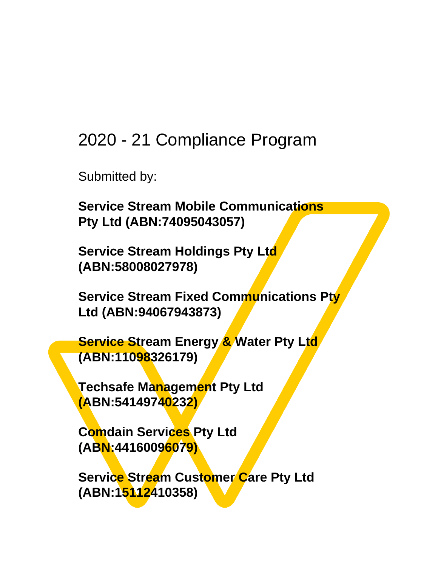## 2020 - 21 Compliance Program

Submitted by:

**Service Stream Mobile Communications Pty Ltd (ABN:74095043057)**

**Service Stream Holdings Pty Ltd (ABN:58008027978)**

**Service Stream Fixed Communications Pty Ltd (ABN:94067943873)**

**Service Stream Energy & Water Pty Ltd (ABN:11098326179)**

**Techsafe Management Pty Ltd (ABN:54149740232)**

**Comdain Services Pty Ltd (ABN:44160096079)**

**Service Stream Customer Care Pty Ltd (ABN:15112410358)**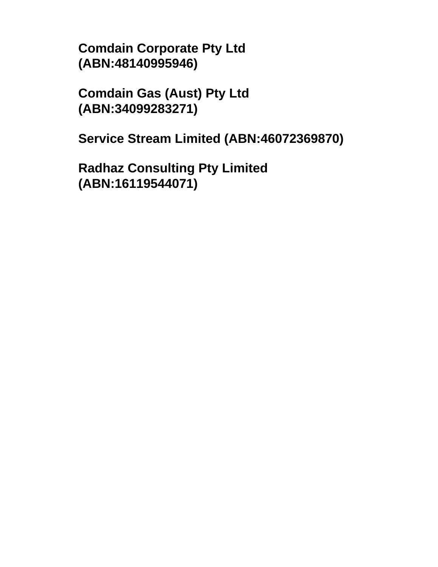**Comdain Corporate Pty Ltd (ABN:48140995946)**

**Comdain Gas (Aust) Pty Ltd (ABN:34099283271)**

**Service Stream Limited (ABN:46072369870)**

**Radhaz Consulting Pty Limited (ABN:16119544071)**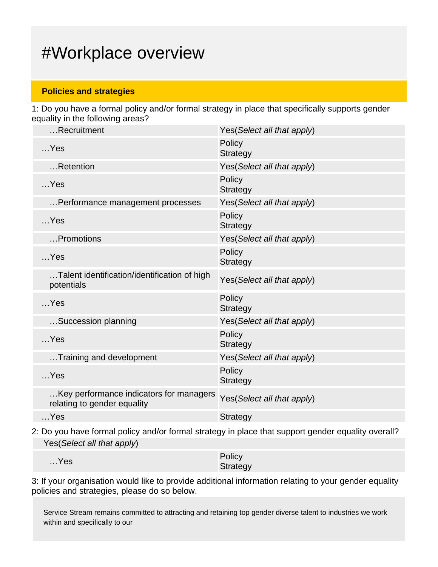## #Workplace overview

#### **Policies and strategies**

1: Do you have a formal policy and/or formal strategy in place that specifically supports gender equality in the following areas?

| Recruitment                                                            | Yes (Select all that apply) |
|------------------------------------------------------------------------|-----------------------------|
| $$ Yes                                                                 | Policy<br><b>Strategy</b>   |
| Retention                                                              | Yes(Select all that apply)  |
| $$ Yes                                                                 | Policy<br><b>Strategy</b>   |
| Performance management processes                                       | Yes(Select all that apply)  |
| $$ Yes                                                                 | Policy<br><b>Strategy</b>   |
| Promotions                                                             | Yes (Select all that apply) |
| $$ Yes                                                                 | Policy<br><b>Strategy</b>   |
| Talent identification/identification of high<br>potentials             | Yes(Select all that apply)  |
| $$ Yes                                                                 | Policy<br><b>Strategy</b>   |
| Succession planning                                                    | Yes(Select all that apply)  |
| $$ Yes                                                                 | Policy<br><b>Strategy</b>   |
| Training and development                                               | Yes(Select all that apply)  |
| $$ Yes                                                                 | Policy<br><b>Strategy</b>   |
| Key performance indicators for managers<br>relating to gender equality | Yes(Select all that apply)  |
| $$ Yes                                                                 | <b>Strategy</b>             |
|                                                                        |                             |

2: Do you have formal policy and/or formal strategy in place that support gender equality overall? Yes(Select all that apply)

| $$ Yes | Policy   |
|--------|----------|
|        | Strategy |

3: If your organisation would like to provide additional information relating to your gender equality policies and strategies, please do so below.

Service Stream remains committed to attracting and retaining top gender diverse talent to industries we work within and specifically to our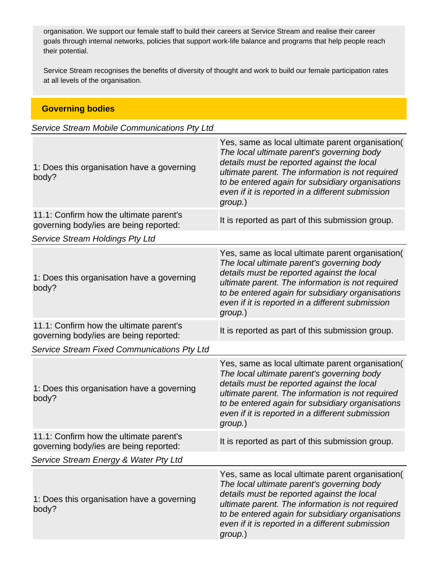organisation. We support our female staff to build their careers at Service Stream and realise their career goals through internal networks, policies that support work-life balance and programs that help people reach their potential.

Service Stream recognises the benefits of diversity of thought and work to build our female participation rates at all levels of the organisation.

| <b>Governing bodies</b>                                                           |                                                                                                                                                                                                                                                                                                                     |
|-----------------------------------------------------------------------------------|---------------------------------------------------------------------------------------------------------------------------------------------------------------------------------------------------------------------------------------------------------------------------------------------------------------------|
| Service Stream Mobile Communications Pty Ltd                                      |                                                                                                                                                                                                                                                                                                                     |
| 1: Does this organisation have a governing<br>body?                               | Yes, same as local ultimate parent organisation(<br>The local ultimate parent's governing body<br>details must be reported against the local<br>ultimate parent. The information is not required<br>to be entered again for subsidiary organisations<br>even if it is reported in a different submission<br>group.) |
| 11.1: Confirm how the ultimate parent's<br>governing body/ies are being reported: | It is reported as part of this submission group.                                                                                                                                                                                                                                                                    |
| Service Stream Holdings Pty Ltd                                                   |                                                                                                                                                                                                                                                                                                                     |
| 1: Does this organisation have a governing<br>body?                               | Yes, same as local ultimate parent organisation(<br>The local ultimate parent's governing body<br>details must be reported against the local<br>ultimate parent. The information is not required<br>to be entered again for subsidiary organisations<br>even if it is reported in a different submission<br>group.) |
| 11.1: Confirm how the ultimate parent's<br>governing body/ies are being reported: | It is reported as part of this submission group.                                                                                                                                                                                                                                                                    |
| Service Stream Fixed Communications Pty Ltd                                       |                                                                                                                                                                                                                                                                                                                     |
| 1: Does this organisation have a governing<br>body?                               | Yes, same as local ultimate parent organisation(<br>The local ultimate parent's governing body<br>details must be reported against the local<br>ultimate parent. The information is not required<br>to be entered again for subsidiary organisations<br>even if it is reported in a different submission<br>group.) |
| 11.1: Confirm how the ultimate parent's<br>governing body/ies are being reported: | It is reported as part of this submission group.                                                                                                                                                                                                                                                                    |
| Service Stream Energy & Water Pty Ltd                                             |                                                                                                                                                                                                                                                                                                                     |
| 1: Does this organisation have a governing<br>body?                               | Yes, same as local ultimate parent organisation(<br>The local ultimate parent's governing body<br>details must be reported against the local<br>ultimate parent. The information is not required<br>to be entered again for subsidiary organisations<br>even if it is reported in a different submission<br>group.) |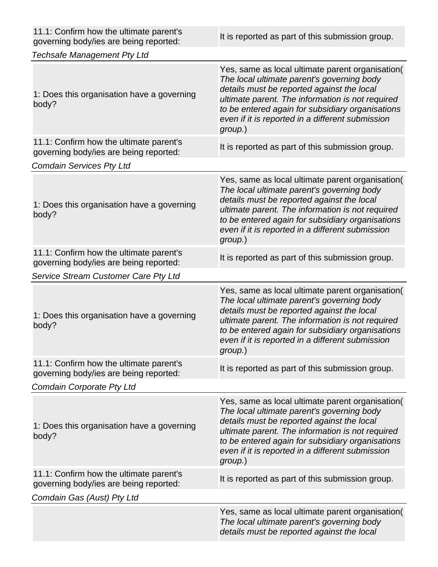| 11.1: Confirm how the ultimate parent's<br>governing body/ies are being reported: | It is reported as part of this submission group.                                                                                                                                                                                                                                                                    |
|-----------------------------------------------------------------------------------|---------------------------------------------------------------------------------------------------------------------------------------------------------------------------------------------------------------------------------------------------------------------------------------------------------------------|
| <b>Techsafe Management Pty Ltd</b>                                                |                                                                                                                                                                                                                                                                                                                     |
| 1: Does this organisation have a governing<br>body?                               | Yes, same as local ultimate parent organisation(<br>The local ultimate parent's governing body<br>details must be reported against the local<br>ultimate parent. The information is not required<br>to be entered again for subsidiary organisations<br>even if it is reported in a different submission<br>group.) |
| 11.1: Confirm how the ultimate parent's<br>governing body/ies are being reported: | It is reported as part of this submission group.                                                                                                                                                                                                                                                                    |
| <b>Comdain Services Pty Ltd</b>                                                   |                                                                                                                                                                                                                                                                                                                     |
| 1: Does this organisation have a governing<br>body?                               | Yes, same as local ultimate parent organisation(<br>The local ultimate parent's governing body<br>details must be reported against the local<br>ultimate parent. The information is not required<br>to be entered again for subsidiary organisations<br>even if it is reported in a different submission<br>group.) |
| 11.1: Confirm how the ultimate parent's<br>governing body/ies are being reported: | It is reported as part of this submission group.                                                                                                                                                                                                                                                                    |
| Service Stream Customer Care Pty Ltd                                              |                                                                                                                                                                                                                                                                                                                     |
| 1: Does this organisation have a governing<br>body?                               | Yes, same as local ultimate parent organisation(<br>The local ultimate parent's governing body<br>details must be reported against the local<br>ultimate parent. The information is not required<br>to be entered again for subsidiary organisations<br>even if it is reported in a different submission<br>group.) |
| 11.1: Confirm how the ultimate parent's<br>governing body/ies are being reported: | It is reported as part of this submission group.                                                                                                                                                                                                                                                                    |
| <b>Comdain Corporate Pty Ltd</b>                                                  |                                                                                                                                                                                                                                                                                                                     |
| 1: Does this organisation have a governing<br>body?                               | Yes, same as local ultimate parent organisation(<br>The local ultimate parent's governing body<br>details must be reported against the local<br>ultimate parent. The information is not required<br>to be entered again for subsidiary organisations<br>even if it is reported in a different submission<br>group.) |
| 11.1: Confirm how the ultimate parent's<br>governing body/ies are being reported: | It is reported as part of this submission group.                                                                                                                                                                                                                                                                    |
| Comdain Gas (Aust) Pty Ltd                                                        |                                                                                                                                                                                                                                                                                                                     |
|                                                                                   | Yes, same as local ultimate parent organisation(<br>The local ultimate parent's governing body<br>details must be reported against the local                                                                                                                                                                        |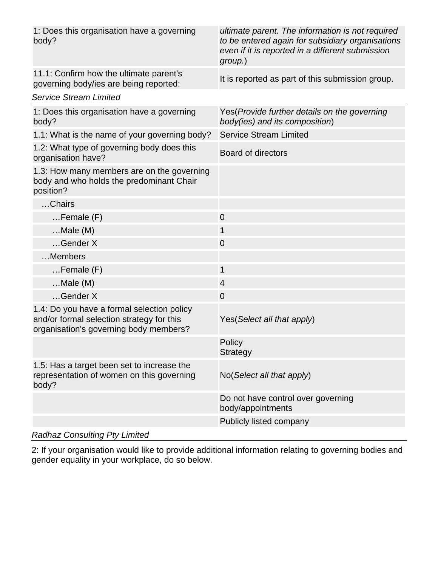| 1: Does this organisation have a governing<br>body?                                                                               | ultimate parent. The information is not required<br>to be entered again for subsidiary organisations<br>even if it is reported in a different submission<br>group.) |
|-----------------------------------------------------------------------------------------------------------------------------------|---------------------------------------------------------------------------------------------------------------------------------------------------------------------|
| 11.1: Confirm how the ultimate parent's<br>governing body/ies are being reported:                                                 | It is reported as part of this submission group.                                                                                                                    |
| <b>Service Stream Limited</b>                                                                                                     |                                                                                                                                                                     |
| 1: Does this organisation have a governing<br>body?                                                                               | Yes (Provide further details on the governing<br>body(ies) and its composition)                                                                                     |
| 1.1: What is the name of your governing body?                                                                                     | <b>Service Stream Limited</b>                                                                                                                                       |
| 1.2: What type of governing body does this<br>organisation have?                                                                  | <b>Board of directors</b>                                                                                                                                           |
| 1.3: How many members are on the governing<br>body and who holds the predominant Chair<br>position?                               |                                                                                                                                                                     |
| Chairs                                                                                                                            |                                                                                                                                                                     |
| $F$ emale $(F)$                                                                                                                   | $\overline{0}$                                                                                                                                                      |
| $Male(M)$                                                                                                                         | 1                                                                                                                                                                   |
| Gender X                                                                                                                          | $\overline{0}$                                                                                                                                                      |
| Members                                                                                                                           |                                                                                                                                                                     |
| $F$ emale $(F)$                                                                                                                   | $\mathbf{1}$                                                                                                                                                        |
| $Male(M)$                                                                                                                         | $\overline{4}$                                                                                                                                                      |
| Gender X                                                                                                                          | $\overline{0}$                                                                                                                                                      |
| 1.4: Do you have a formal selection policy<br>and/or formal selection strategy for this<br>organisation's governing body members? | Yes (Select all that apply)                                                                                                                                         |
|                                                                                                                                   | Policy<br><b>Strategy</b>                                                                                                                                           |
| 1.5: Has a target been set to increase the<br>representation of women on this governing<br>body?                                  | No(Select all that apply)                                                                                                                                           |
|                                                                                                                                   | Do not have control over governing<br>body/appointments                                                                                                             |
|                                                                                                                                   | Publicly listed company                                                                                                                                             |
|                                                                                                                                   |                                                                                                                                                                     |

### Radhaz Consulting Pty Limited

2: If your organisation would like to provide additional information relating to governing bodies and gender equality in your workplace, do so below.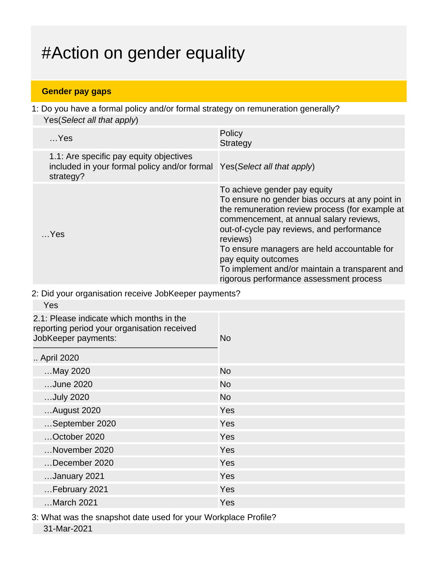# #Action on gender equality

### **Gender pay gaps**

1: Do you have a formal policy and/or formal strategy on remuneration generally? Yes(Select all that apply)

| $$ Yes                                                                                                                           | Policy<br><b>Strategy</b>                                                                                                                                                                                                                                                                                                                                                                                 |
|----------------------------------------------------------------------------------------------------------------------------------|-----------------------------------------------------------------------------------------------------------------------------------------------------------------------------------------------------------------------------------------------------------------------------------------------------------------------------------------------------------------------------------------------------------|
| 1.1: Are specific pay equity objectives<br>included in your formal policy and/or formal Yes (Select all that apply)<br>strategy? |                                                                                                                                                                                                                                                                                                                                                                                                           |
| $$ Yes                                                                                                                           | To achieve gender pay equity<br>To ensure no gender bias occurs at any point in<br>the remuneration review process (for example at<br>commencement, at annual salary reviews,<br>out-of-cycle pay reviews, and performance<br>reviews)<br>To ensure managers are held accountable for<br>pay equity outcomes<br>To implement and/or maintain a transparent and<br>rigorous performance assessment process |

2: Did your organisation receive JobKeeper payments?

| Yes                                                                                                            |           |
|----------------------------------------------------------------------------------------------------------------|-----------|
| 2.1: Please indicate which months in the<br>reporting period your organisation received<br>JobKeeper payments: | <b>No</b> |
| April 2020                                                                                                     |           |
| May 2020                                                                                                       | <b>No</b> |
| June 2020                                                                                                      | <b>No</b> |
| July 2020                                                                                                      | <b>No</b> |
| August 2020                                                                                                    | Yes       |
| September 2020                                                                                                 | Yes       |
| October 2020                                                                                                   | Yes       |
| November 2020                                                                                                  | Yes       |
| December 2020                                                                                                  | Yes       |
| January 2021                                                                                                   | Yes       |
| February 2021                                                                                                  | Yes       |
| March 2021                                                                                                     | Yes       |
|                                                                                                                |           |

3: What was the snapshot date used for your Workplace Profile? 31-Mar-2021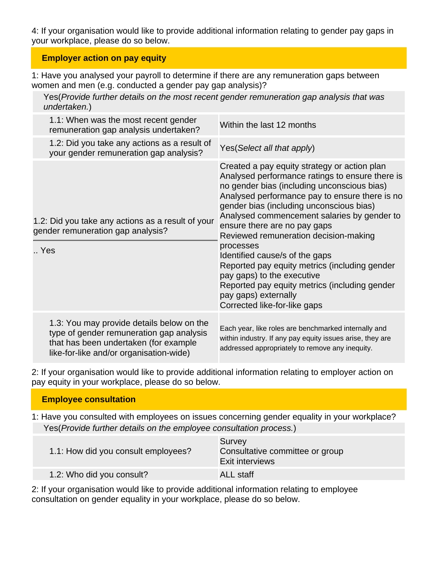4: If your organisation would like to provide additional information relating to gender pay gaps in your workplace, please do so below.

### **Employer action on pay equity**

1: Have you analysed your payroll to determine if there are any remuneration gaps between women and men (e.g. conducted a gender pay gap analysis)?

Yes(Provide further details on the most recent gender remuneration gap analysis that was undertaken.)

| 1.1: When was the most recent gender<br>remuneration gap analysis undertaken?                 |                                                                                       | Within the last 12 months                                                                                                                                                                                                                                                                                                                                                                                                                                                                                                                                                                                   |
|-----------------------------------------------------------------------------------------------|---------------------------------------------------------------------------------------|-------------------------------------------------------------------------------------------------------------------------------------------------------------------------------------------------------------------------------------------------------------------------------------------------------------------------------------------------------------------------------------------------------------------------------------------------------------------------------------------------------------------------------------------------------------------------------------------------------------|
| your gender remuneration gap analysis?                                                        | 1.2: Did you take any actions as a result of                                          | Yes (Select all that apply)                                                                                                                                                                                                                                                                                                                                                                                                                                                                                                                                                                                 |
| 1.2: Did you take any actions as a result of your<br>gender remuneration gap analysis?<br>Yes |                                                                                       | Created a pay equity strategy or action plan<br>Analysed performance ratings to ensure there is<br>no gender bias (including unconscious bias)<br>Analysed performance pay to ensure there is no<br>gender bias (including unconscious bias)<br>Analysed commencement salaries by gender to<br>ensure there are no pay gaps<br>Reviewed remuneration decision-making<br>processes<br>Identified cause/s of the gaps<br>Reported pay equity metrics (including gender<br>pay gaps) to the executive<br>Reported pay equity metrics (including gender<br>pay gaps) externally<br>Corrected like-for-like gaps |
| that has been undertaken (for example<br>like-for-like and/or organisation-wide)              | 1.3: You may provide details below on the<br>type of gender remuneration gap analysis | Each year, like roles are benchmarked internally and<br>within industry. If any pay equity issues arise, they are<br>addressed appropriately to remove any inequity.                                                                                                                                                                                                                                                                                                                                                                                                                                        |

2: If your organisation would like to provide additional information relating to employer action on pay equity in your workplace, please do so below.

### **Employee consultation**

1: Have you consulted with employees on issues concerning gender equality in your workplace? Yes(Provide further details on the employee consultation process.)

| 1.1: How did you consult employees? | Survey<br>Consultative committee or group<br><b>Exit interviews</b> |
|-------------------------------------|---------------------------------------------------------------------|
| 1.2: Who did you consult?           | ALL staff                                                           |

2: If your organisation would like to provide additional information relating to employee consultation on gender equality in your workplace, please do so below.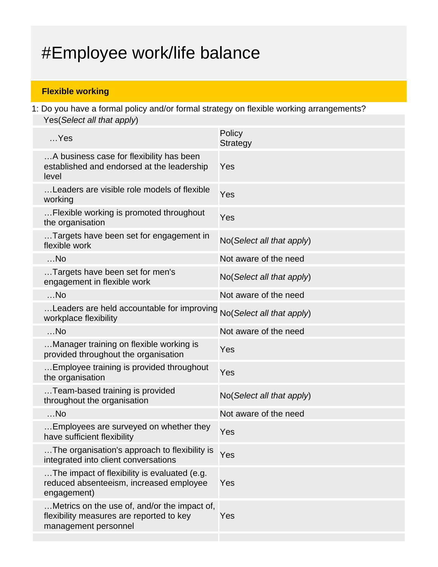# #Employee work/life balance

### **Flexible working**

1: Do you have a formal policy and/or formal strategy on flexible working arrangements? Yes(Select all that apply)

| $$ Yes                                                                                                           | Policy<br><b>Strategy</b> |
|------------------------------------------------------------------------------------------------------------------|---------------------------|
| A business case for flexibility has been<br>established and endorsed at the leadership<br>level                  | Yes                       |
| Leaders are visible role models of flexible<br>working                                                           | Yes                       |
| Flexible working is promoted throughout<br>the organisation                                                      | Yes                       |
| Targets have been set for engagement in<br>flexible work                                                         | No(Select all that apply) |
| $$ No                                                                                                            | Not aware of the need     |
| Targets have been set for men's<br>engagement in flexible work                                                   | No(Select all that apply) |
| $$ No                                                                                                            | Not aware of the need     |
| Leaders are held accountable for improving<br>workplace flexibility                                              | No(Select all that apply) |
| $$ No                                                                                                            | Not aware of the need     |
| Manager training on flexible working is<br>provided throughout the organisation                                  | Yes                       |
| Employee training is provided throughout<br>the organisation                                                     | Yes                       |
| Team-based training is provided<br>throughout the organisation                                                   | No(Select all that apply) |
| $$ No                                                                                                            | Not aware of the need     |
| Employees are surveyed on whether they<br>have sufficient flexibility                                            | Yes                       |
| The organisation's approach to flexibility is<br>integrated into client conversations                            | Yes                       |
| The impact of flexibility is evaluated (e.g.<br>reduced absenteeism, increased employee<br>engagement)           | Yes                       |
| Metrics on the use of, and/or the impact of,<br>flexibility measures are reported to key<br>management personnel | Yes                       |
|                                                                                                                  |                           |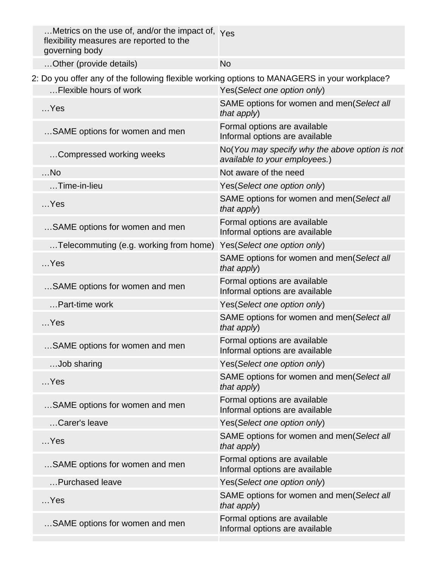| Metrics on the use of, and/or the impact of, Yes<br>flexibility measures are reported to the<br>governing body |                                                                                 |
|----------------------------------------------------------------------------------------------------------------|---------------------------------------------------------------------------------|
| Other (provide details)                                                                                        | <b>No</b>                                                                       |
| 2: Do you offer any of the following flexible working options to MANAGERS in your workplace?                   |                                                                                 |
| Flexible hours of work                                                                                         | Yes(Select one option only)                                                     |
| $$ Yes                                                                                                         | SAME options for women and men(Select all<br>that apply)                        |
| SAME options for women and men                                                                                 | Formal options are available<br>Informal options are available                  |
| Compressed working weeks                                                                                       | No(You may specify why the above option is not<br>available to your employees.) |
| $$ No                                                                                                          | Not aware of the need                                                           |
| Time-in-lieu                                                                                                   | Yes(Select one option only)                                                     |
| $$ Yes                                                                                                         | SAME options for women and men(Select all<br>that apply)                        |
| SAME options for women and men                                                                                 | Formal options are available<br>Informal options are available                  |
| Telecommuting (e.g. working from home)                                                                         | Yes(Select one option only)                                                     |
| $$ Yes                                                                                                         | SAME options for women and men(Select all<br>that apply)                        |
| SAME options for women and men                                                                                 | Formal options are available<br>Informal options are available                  |
| Part-time work                                                                                                 | Yes(Select one option only)                                                     |
| $$ Yes                                                                                                         | SAME options for women and men(Select all<br>that apply)                        |
| SAME options for women and men                                                                                 | Formal options are available<br>Informal options are available                  |
| Job sharing                                                                                                    | Yes(Select one option only)                                                     |
| $$ Yes                                                                                                         | SAME options for women and men(Select all<br>that $apply$ )                     |
| SAME options for women and men                                                                                 | Formal options are available<br>Informal options are available                  |
| Carer's leave                                                                                                  | Yes(Select one option only)                                                     |
| $$ Yes                                                                                                         | SAME options for women and men(Select all<br>that apply)                        |
| SAME options for women and men                                                                                 | Formal options are available<br>Informal options are available                  |
| Purchased leave                                                                                                | Yes(Select one option only)                                                     |
| $$ Yes                                                                                                         | SAME options for women and men(Select all<br>that apply)                        |
| SAME options for women and men                                                                                 | Formal options are available<br>Informal options are available                  |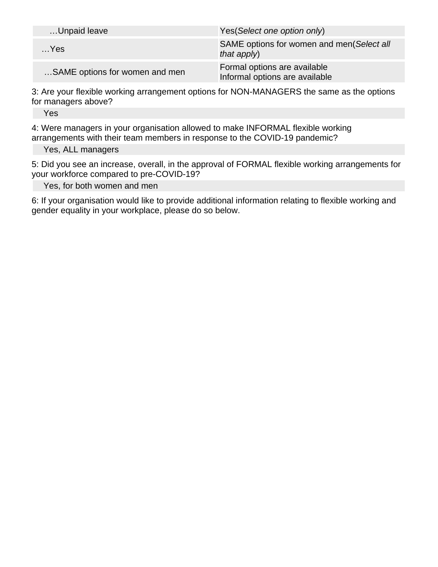| Unpaid leave                   | Yes (Select one option only)                                   |
|--------------------------------|----------------------------------------------------------------|
| $$ Yes                         | SAME options for women and men(Select all<br>that $apply$ )    |
| SAME options for women and men | Formal options are available<br>Informal options are available |

3: Are your flexible working arrangement options for NON-MANAGERS the same as the options for managers above?

Yes

4: Were managers in your organisation allowed to make INFORMAL flexible working arrangements with their team members in response to the COVID-19 pandemic?

Yes, ALL managers

5: Did you see an increase, overall, in the approval of FORMAL flexible working arrangements for your workforce compared to pre-COVID-19?

Yes, for both women and men

6: If your organisation would like to provide additional information relating to flexible working and gender equality in your workplace, please do so below.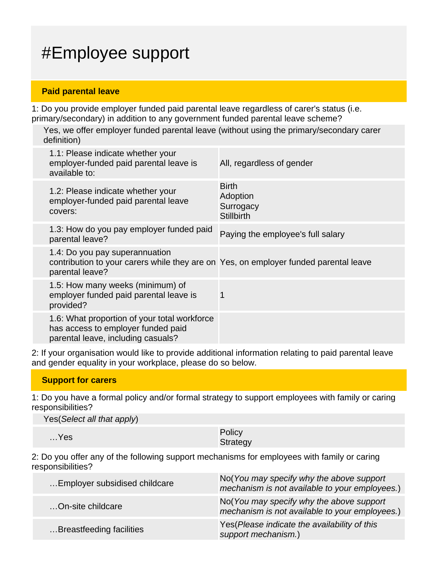# #Employee support

#### **Paid parental leave**

1: Do you provide employer funded paid parental leave regardless of carer's status (i.e. primary/secondary) in addition to any government funded parental leave scheme?

Yes, we offer employer funded parental leave (without using the primary/secondary carer definition)

| 1.1: Please indicate whether your<br>employer-funded paid parental leave is<br>available to:                                              | All, regardless of gender                                  |
|-------------------------------------------------------------------------------------------------------------------------------------------|------------------------------------------------------------|
| 1.2: Please indicate whether your<br>employer-funded paid parental leave<br>covers:                                                       | <b>Birth</b><br>Adoption<br>Surrogacy<br><b>Stillbirth</b> |
| 1.3: How do you pay employer funded paid<br>parental leave?                                                                               | Paying the employee's full salary                          |
| 1.4: Do you pay superannuation<br>contribution to your carers while they are on Yes, on employer funded parental leave<br>parental leave? |                                                            |
| 1.5: How many weeks (minimum) of<br>employer funded paid parental leave is<br>provided?                                                   | 1                                                          |
| 1.6: What proportion of your total workforce<br>has access to employer funded paid<br>parental leave, including casuals?                  |                                                            |
|                                                                                                                                           |                                                            |

2: If your organisation would like to provide additional information relating to paid parental leave and gender equality in your workplace, please do so below.

#### **Support for carers**

1: Do you have a formal policy and/or formal strategy to support employees with family or caring responsibilities?

Yes(Select all that apply)

| Yes | Policy   |
|-----|----------|
|     | Strategy |

2: Do you offer any of the following support mechanisms for employees with family or caring responsibilities?

| Employer subsidised childcare | No(You may specify why the above support<br>mechanism is not available to your employees.) |
|-------------------------------|--------------------------------------------------------------------------------------------|
| On-site childcare             | No(You may specify why the above support<br>mechanism is not available to your employees.) |
| Breastfeeding facilities      | Yes(Please indicate the availability of this<br>support mechanism.)                        |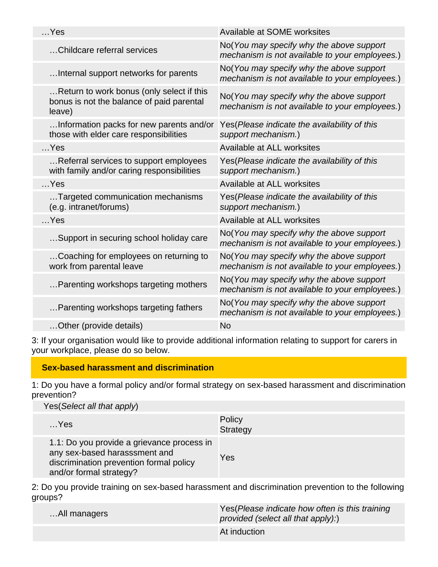| $$ Yes                                                                                           | Available at SOME worksites                                                                |
|--------------------------------------------------------------------------------------------------|--------------------------------------------------------------------------------------------|
| Childcare referral services                                                                      | No(You may specify why the above support<br>mechanism is not available to your employees.) |
| Internal support networks for parents                                                            | No(You may specify why the above support<br>mechanism is not available to your employees.) |
| Return to work bonus (only select if this<br>bonus is not the balance of paid parental<br>leave) | No(You may specify why the above support<br>mechanism is not available to your employees.) |
| Information packs for new parents and/or<br>those with elder care responsibilities               | Yes (Please indicate the availability of this<br>support mechanism.)                       |
| $$ Yes                                                                                           | Available at ALL worksites                                                                 |
| Referral services to support employees<br>with family and/or caring responsibilities             | Yes(Please indicate the availability of this<br>support mechanism.)                        |
| $$ Yes                                                                                           | Available at ALL worksites                                                                 |
| Targeted communication mechanisms<br>(e.g. intranet/forums)                                      | Yes(Please indicate the availability of this<br>support mechanism.)                        |
| $$ Yes                                                                                           | Available at ALL worksites                                                                 |
| Support in securing school holiday care                                                          | No(You may specify why the above support<br>mechanism is not available to your employees.) |
| Coaching for employees on returning to<br>work from parental leave                               | No(You may specify why the above support<br>mechanism is not available to your employees.) |
| Parenting workshops targeting mothers                                                            | No(You may specify why the above support<br>mechanism is not available to your employees.) |
| Parenting workshops targeting fathers                                                            | No(You may specify why the above support<br>mechanism is not available to your employees.) |
| Other (provide details)                                                                          | <b>No</b>                                                                                  |

3: If your organisation would like to provide additional information relating to support for carers in your workplace, please do so below.

### **Sex-based harassment and discrimination**

1: Do you have a formal policy and/or formal strategy on sex-based harassment and discrimination prevention?

Yes(Select all that apply)

| $$ Yes                                                                                                                                            | Policy<br>Strategy |
|---------------------------------------------------------------------------------------------------------------------------------------------------|--------------------|
| 1.1: Do you provide a grievance process in<br>any sex-based harasssment and<br>discrimination prevention formal policy<br>and/or formal strategy? | Yes                |

2: Do you provide training on sex-based harassment and discrimination prevention to the following groups?

| All managers | Yes (Please indicate how often is this training<br>provided (select all that $apply$ ): |
|--------------|-----------------------------------------------------------------------------------------|
|              | At induction                                                                            |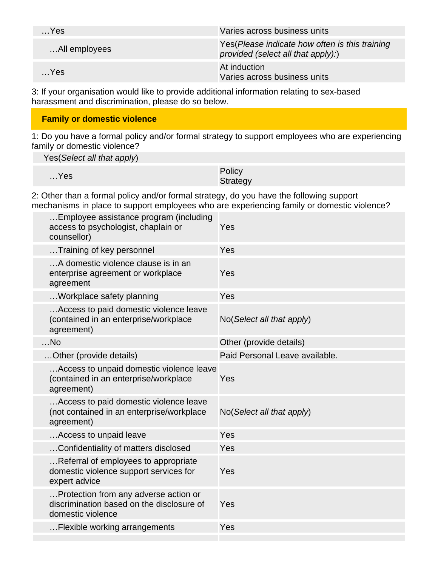| $$ Yes        | Varies across business units                                                             |
|---------------|------------------------------------------------------------------------------------------|
| All employees | Yes (Please indicate how often is this training<br>provided (select all that $apply$ ):) |
| $$ Yes        | At induction<br>Varies across business units                                             |

3: If your organisation would like to provide additional information relating to sex-based harassment and discrimination, please do so below.

### **Family or domestic violence**

1: Do you have a formal policy and/or formal strategy to support employees who are experiencing family or domestic violence?

Yes(Select all that apply)

| $$ Yes | Policy   |
|--------|----------|
|        | Strategy |

2: Other than a formal policy and/or formal strategy, do you have the following support mechanisms in place to support employees who are experiencing family or domestic violence?

| Employee assistance program (including<br>access to psychologist, chaplain or<br>counsellor)            | Yes                            |
|---------------------------------------------------------------------------------------------------------|--------------------------------|
| Training of key personnel                                                                               | Yes                            |
| A domestic violence clause is in an<br>enterprise agreement or workplace<br>agreement                   | Yes                            |
| Workplace safety planning                                                                               | Yes                            |
| Access to paid domestic violence leave<br>(contained in an enterprise/workplace<br>agreement)           | No(Select all that apply)      |
| $$ No                                                                                                   | Other (provide details)        |
| Other (provide details)                                                                                 | Paid Personal Leave available. |
| Access to unpaid domestic violence leave<br>(contained in an enterprise/workplace<br>agreement)         | Yes                            |
| Access to paid domestic violence leave<br>(not contained in an enterprise/workplace<br>agreement)       | No(Select all that apply)      |
| Access to unpaid leave                                                                                  | Yes                            |
| Confidentiality of matters disclosed                                                                    | Yes                            |
| Referral of employees to appropriate<br>domestic violence support services for<br>expert advice         | Yes                            |
| Protection from any adverse action or<br>discrimination based on the disclosure of<br>domestic violence | Yes                            |
| Flexible working arrangements                                                                           | Yes                            |
|                                                                                                         |                                |